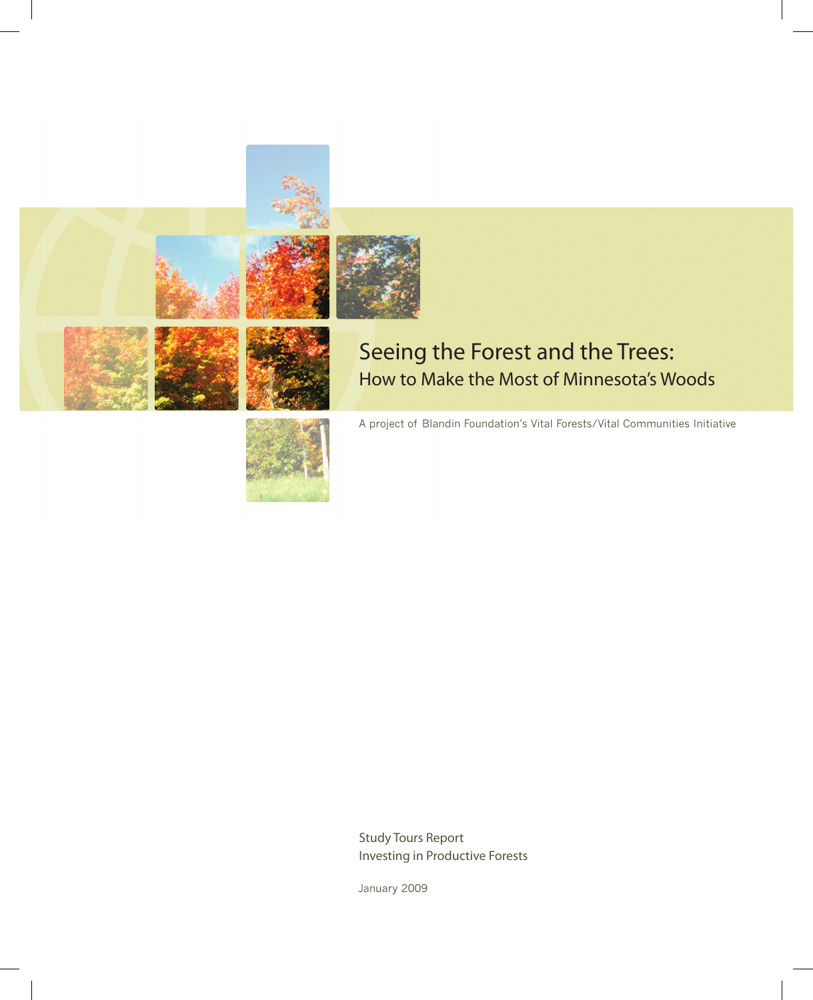

Study Tours Report Investing in Productive Forests

January 2009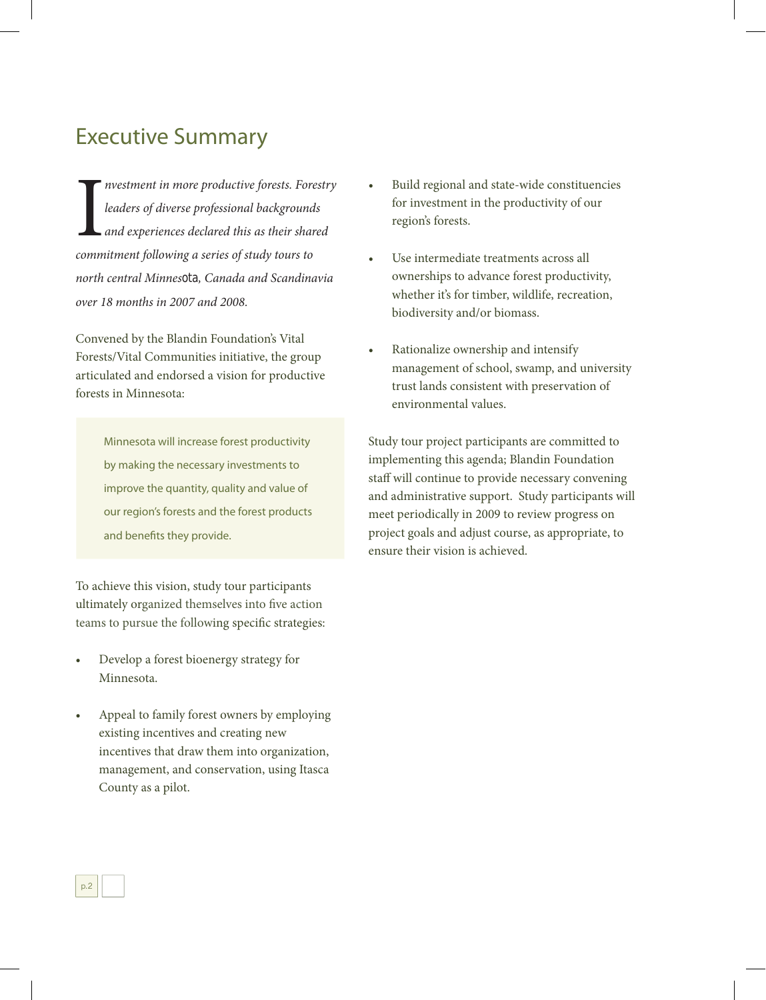## Executive Summary

**The absolutive form is a set of diverse professional background**<br>and experiences declared this as their shar<br>commitment following a series of study tours to *nvestment in more productive forests. Forestry leaders of diverse professional backgrounds and experiences declared this as their shared north central Minnesota, Canada and Scandinavia over 18 months in 2007 and 2008.* 

Convened by the Blandin Foundation's Vital Forests/Vital Communities initiative, the group articulated and endorsed a vision for productive forests in Minnesota:

> Minnesota will increase forest productivity by making the necessary investments to improve the quantity, quality and value of our region's forests and the forest products and benefits they provide.

To achieve this vision, study tour participants ultimately organized themselves into five action teams to pursue the following specific strategies:

- Develop a forest bioenergy strategy for Minnesota.
- Appeal to family forest owners by employing existing incentives and creating new incentives that draw them into organization, management, and conservation, using Itasca County as a pilot.

p.2

- Build regional and state-wide constituencies for investment in the productivity of our region's forests.
- Use intermediate treatments across all ownerships to advance forest productivity, whether it's for timber, wildlife, recreation, biodiversity and/or biomass.
- Rationalize ownership and intensify management of school, swamp, and university trust lands consistent with preservation of environmental values.

Study tour project participants are committed to implementing this agenda; Blandin Foundation staff will continue to provide necessary convening and administrative support. Study participants will meet periodically in 2009 to review progress on project goals and adjust course, as appropriate, to ensure their vision is achieved.